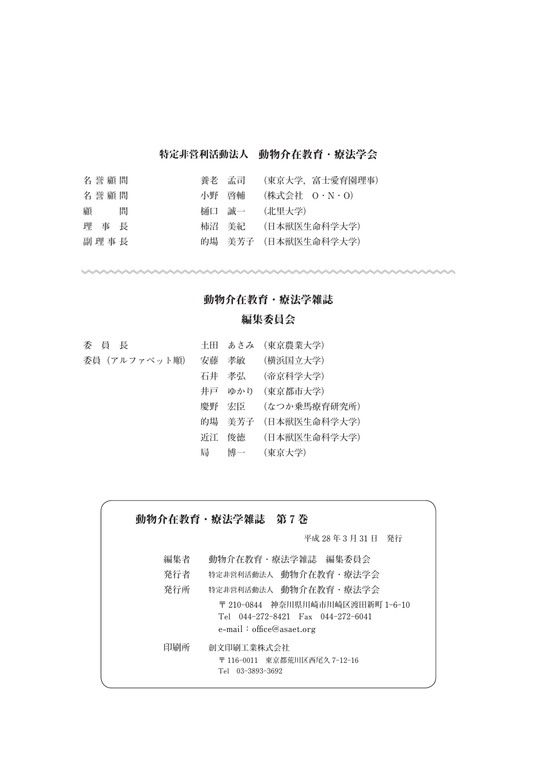# 特定非営利活動法人 動物介存教育 · 療法学会

| 名誉顧問   | 養老 孟司 | (東京大学,富士愛育園理事)      |
|--------|-------|---------------------|
| 名誉顧問   | 小野 啓輔 | (株式会社 0・N・0)        |
| 顧<br>間 | 桶口 誠一 | (北里大学)              |
| 理事長    |       | 柿沼 美紀  (日本獣医生命科学大学) |
| 副理事長   |       | 的場 美芳子 (日本獣医生命科学大学) |

## 動物介在教育・療法学雑誌

## 編集委員会

| 委員長          |   | 土田 あさみ (東京農業大学)     |
|--------------|---|---------------------|
| 委員(アルファベット順) |   | 安藤 孝敏 (横浜国立大学)      |
|              |   | 石井 孝弘  (帝京科学大学)     |
|              |   | 井戸 ゆかり (東京都市大学)     |
|              |   | 慶野 宏臣  (なつか乗馬療育研究所) |
|              |   | 的場 美芳子 (日本獣医生命科学大学) |
|              |   | 近江 俊徳  (日本獣医生命科学大学) |
|              | 局 | 博一 (東京大学)           |

動物介在教育·療法学雑誌 第7巻 **平成 28 年 3 月 31 日 発行 編集者 動物介在教育・療法学雑誌 編集委員会 発行者 特定非営利活動法人 動物介在教育・療法学会 発行所 特定非営利活動法人 動物介在教育・療法学会 〒 210-0844 神奈川県川崎市川崎区渡田新町 1-6-10 Tel 044-272-8421 Fax 044-272-6041 e-mail:office@asaet.org 印刷所 創文印刷工業株式会社 〒 116-0011 東京都荒川区西尾久 7-12-16 Tel 03-3893-3692**